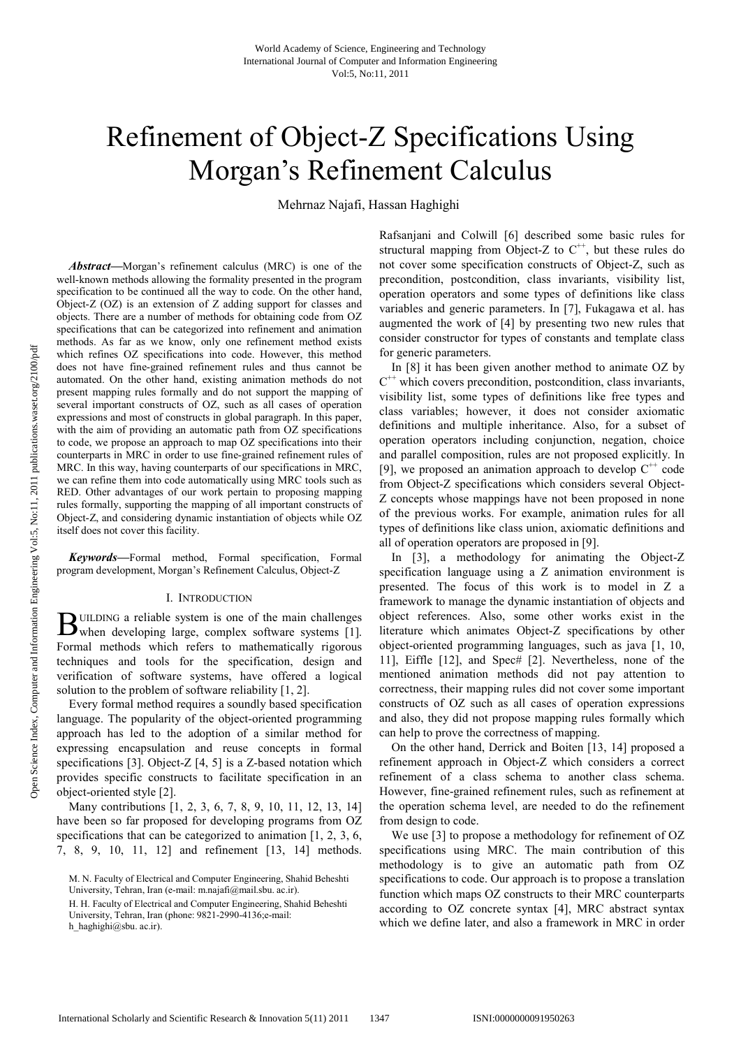# Refinement of Object-Z Specifications Using Morgan's Refinement Calculus

Mehrnaz Najafi, Hassan Haghighi

*Abstract***—**Morgan's refinement calculus (MRC) is one of the well-known methods allowing the formality presented in the program specification to be continued all the way to code. On the other hand, Object-Z (OZ) is an extension of Z adding support for classes and objects. There are a number of methods for obtaining code from OZ specifications that can be categorized into refinement and animation methods. As far as we know, only one refinement method exists which refines OZ specifications into code. However, this method does not have fine-grained refinement rules and thus cannot be automated. On the other hand, existing animation methods do not present mapping rules formally and do not support the mapping of several important constructs of OZ, such as all cases of operation expressions and most of constructs in global paragraph. In this paper, with the aim of providing an automatic path from OZ specifications to code, we propose an approach to map OZ specifications into their counterparts in MRC in order to use fine-grained refinement rules of MRC. In this way, having counterparts of our specifications in MRC, we can refine them into code automatically using MRC tools such as RED. Other advantages of our work pertain to proposing mapping rules formally, supporting the mapping of all important constructs of Object-Z, and considering dynamic instantiation of objects while OZ itself does not cover this facility.

*Keywords***—**Formal method, Formal specification, Formal program development, Morgan's Refinement Calculus, Object-Z

#### I. INTRODUCTION

UILDING a reliable system is one of the main challenges **BUILDING** a reliable system is one of the main challenges when developing large, complex software systems [1]. Formal methods which refers to mathematically rigorous techniques and tools for the specification, design and verification of software systems, have offered a logical solution to the problem of software reliability [1, 2].

Every formal method requires a soundly based specification language. The popularity of the object-oriented programming approach has led to the adoption of a similar method for expressing encapsulation and reuse concepts in formal specifications [3]. Object-Z [4, 5] is a Z-based notation which provides specific constructs to facilitate specification in an object-oriented style [2].

Many contributions [1, 2, 3, 6, 7, 8, 9, 10, 11, 12, 13, 14] have been so far proposed for developing programs from OZ specifications that can be categorized to animation [1, 2, 3, 6, 7, 8, 9, 10, 11, 12] and refinement [13, 14] methods.

H. H. Faculty of Electrical and Computer Engineering, Shahid Beheshti University, Tehran, Iran (phone: 9821-2990-4136;e-mail:

Rafsanjani and Colwill [6] described some basic rules for structural mapping from Object-Z to  $C^{++}$ , but these rules do not cover some specification constructs of Object-Z, such as precondition, postcondition, class invariants, visibility list, operation operators and some types of definitions like class variables and generic parameters. In [7], Fukagawa et al. has augmented the work of [4] by presenting two new rules that consider constructor for types of constants and template class for generic parameters.

In [8] it has been given another method to animate OZ by  $C^{++}$  which covers precondition, postcondition, class invariants, visibility list, some types of definitions like free types and class variables; however, it does not consider axiomatic definitions and multiple inheritance. Also, for a subset of operation operators including conjunction, negation, choice and parallel composition, rules are not proposed explicitly. In [9], we proposed an animation approach to develop  $C^{++}$  code from Object-Z specifications which considers several Object-Z concepts whose mappings have not been proposed in none of the previous works. For example, animation rules for all types of definitions like class union, axiomatic definitions and all of operation operators are proposed in [9].

In [3], a methodology for animating the Object-Z specification language using a Z animation environment is presented. The focus of this work is to model in Z a framework to manage the dynamic instantiation of objects and object references. Also, some other works exist in the literature which animates Object-Z specifications by other object-oriented programming languages, such as java [1, 10, 11], Eiffle [12], and Spec# [2]. Nevertheless, none of the mentioned animation methods did not pay attention to correctness, their mapping rules did not cover some important constructs of OZ such as all cases of operation expressions and also, they did not propose mapping rules formally which can help to prove the correctness of mapping.

On the other hand, Derrick and Boiten [13, 14] proposed a refinement approach in Object-Z which considers a correct refinement of a class schema to another class schema. However, fine-grained refinement rules, such as refinement at the operation schema level, are needed to do the refinement from design to code.

We use [3] to propose a methodology for refinement of OZ specifications using MRC. The main contribution of this methodology is to give an automatic path from OZ specifications to code. Our approach is to propose a translation function which maps OZ constructs to their MRC counterparts according to OZ concrete syntax [4], MRC abstract syntax which we define later, and also a framework in MRC in order

M. N. Faculty of Electrical and Computer Engineering, Shahid Beheshti University, Tehran, Iran (e-mail: m.najafi@mail.sbu. ac.ir).

h\_haghighi@sbu. ac.ir).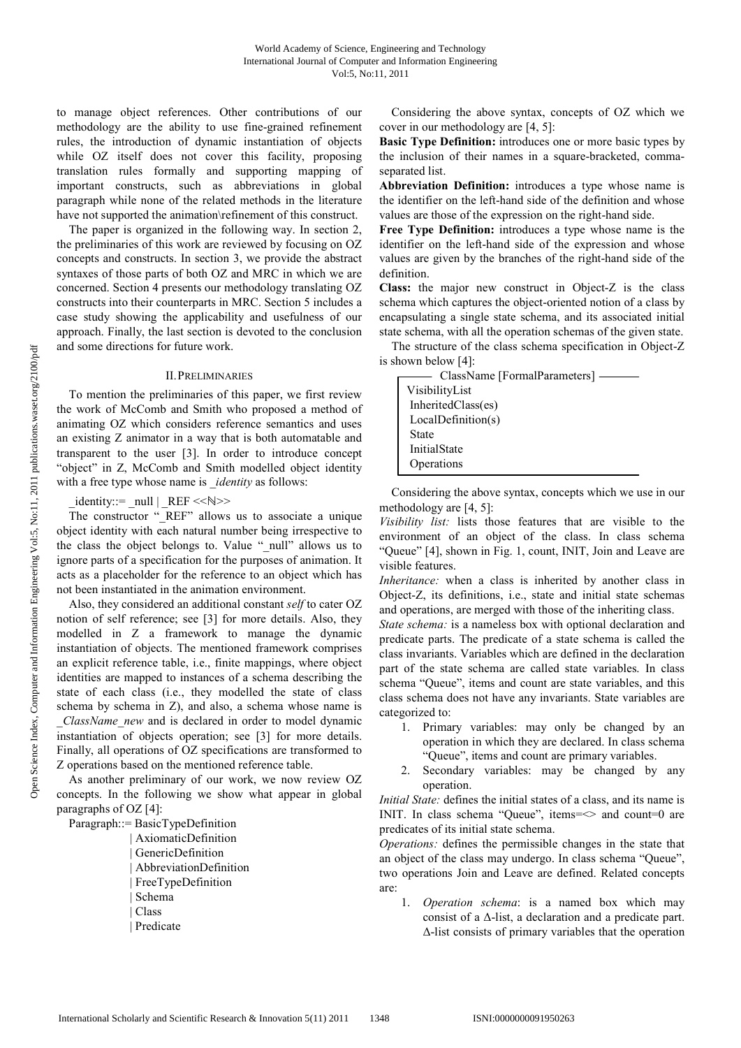to manage object references. Other contributions of our methodology are the ability to use fine-grained refinement rules, the introduction of dynamic instantiation of objects while OZ itself does not cover this facility, proposing translation rules formally and supporting mapping of important constructs, such as abbreviations in global paragraph while none of the related methods in the literature have not supported the animation\refinement of this construct.

The paper is organized in the following way. In section 2, the preliminaries of this work are reviewed by focusing on OZ concepts and constructs. In section 3, we provide the abstract syntaxes of those parts of both OZ and MRC in which we are concerned. Section 4 presents our methodology translating OZ constructs into their counterparts in MRC. Section 5 includes a case study showing the applicability and usefulness of our approach. Finally, the last section is devoted to the conclusion and some directions for future work.

#### II.PRELIMINARIES

To mention the preliminaries of this paper, we first review the work of McComb and Smith who proposed a method of animating OZ which considers reference semantics and uses an existing Z animator in a way that is both automatable and transparent to the user [3]. In order to introduce concept "object" in Z, McComb and Smith modelled object identity with a free type whose name is *identity* as follows:

 $identity::= null | REF \ll N>>$ 

The constructor "\_REF" allows us to associate a unique object identity with each natural number being irrespective to the class the object belongs to. Value "\_null" allows us to ignore parts of a specification for the purposes of animation. It acts as a placeholder for the reference to an object which has not been instantiated in the animation environment.

Also, they considered an additional constant *self* to cater OZ notion of self reference; see [3] for more details. Also, they modelled in Z a framework to manage the dynamic instantiation of objects. The mentioned framework comprises an explicit reference table, i.e., finite mappings, where object identities are mapped to instances of a schema describing the state of each class (i.e., they modelled the state of class schema by schema in Z), and also, a schema whose name is *\_ClassName\_new* and is declared in order to model dynamic instantiation of objects operation; see [3] for more details. Finally, all operations of OZ specifications are transformed to Z operations based on the mentioned reference table.

As another preliminary of our work, we now review OZ concepts. In the following we show what appear in global paragraphs of OZ [4]:

Paragraph::= BasicTypeDefinition

 | AxiomaticDefinition | GenericDefinition | AbbreviationDefinition | FreeTypeDefinition | Schema | Class | Predicate

Considering the above syntax, concepts of OZ which we cover in our methodology are [4, 5]:

**Basic Type Definition:** introduces one or more basic types by the inclusion of their names in a square-bracketed, commaseparated list.

**Abbreviation Definition:** introduces a type whose name is the identifier on the left-hand side of the definition and whose values are those of the expression on the right-hand side.

**Free Type Definition:** introduces a type whose name is the identifier on the left-hand side of the expression and whose values are given by the branches of the right-hand side of the definition.

**Class:** the major new construct in Object-Z is the class schema which captures the object-oriented notion of a class by encapsulating a single state schema, and its associated initial state schema, with all the operation schemas of the given state.

The structure of the class schema specification in Object-Z is shown below [4]:

| ClassName [FormalParameters] — |
|--------------------------------|
| VisibilityList                 |
| InheritedClass(es)             |
| LocalDefinition(s)             |
| State                          |
| InitialState                   |
| Operations                     |
|                                |

Considering the above syntax, concepts which we use in our methodology are [4, 5]:

*Visibility list:* lists those features that are visible to the environment of an object of the class. In class schema "Queue" [4], shown in Fig. 1, count, INIT, Join and Leave are visible features.

*Inheritance:* when a class is inherited by another class in Object-Z, its definitions, i.e., state and initial state schemas and operations, are merged with those of the inheriting class.

*State schema:* is a nameless box with optional declaration and predicate parts. The predicate of a state schema is called the class invariants. Variables which are defined in the declaration part of the state schema are called state variables. In class schema "Queue", items and count are state variables, and this class schema does not have any invariants. State variables are categorized to:

- 1. Primary variables: may only be changed by an operation in which they are declared. In class schema "Queue", items and count are primary variables.
- 2. Secondary variables: may be changed by any operation.

*Initial State:* defines the initial states of a class, and its name is INIT. In class schema "Queue", items=<> and count=0 are predicates of its initial state schema.

*Operations:* defines the permissible changes in the state that an object of the class may undergo. In class schema "Queue", two operations Join and Leave are defined. Related concepts are:

1. *Operation schema*: is a named box which may consist of a ∆-list, a declaration and a predicate part. ∆-list consists of primary variables that the operation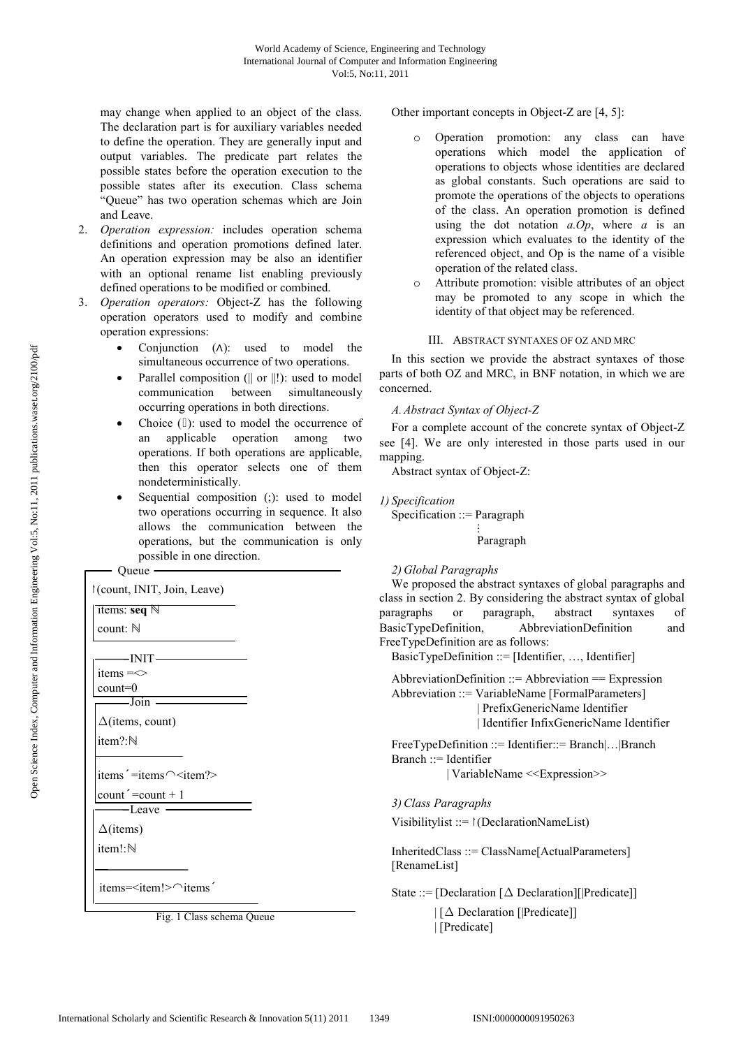may change when applied to an object of the class. The declaration part is for auxiliary variables needed to define the operation. They are generally input and output variables. The predicate part relates the possible states before the operation execution to the possible states after its execution. Class schema "Queue" has two operation schemas which are Join and Leave.

- 2. *Operation expression:* includes operation schema definitions and operation promotions defined later. An operation expression may be also an identifier with an optional rename list enabling previously defined operations to be modified or combined.
- 3. *Operation operators:* Object-Z has the following operation operators used to modify and combine operation expressions:
	- Conjunction (∧): used to model the simultaneous occurrence of two operations.
	- Parallel composition ( $||$  or  $|||$ ): used to model communication between simultaneously occurring operations in both directions.
	- Choice (▯): used to model the occurrence of an applicable operation among two operations. If both operations are applicable, then this operator selects one of them nondeterministically.
	- Sequential composition (;): used to model two operations occurring in sequence. It also allows the communication between the operations, but the communication is only possible in one direction.

Queue

↾(count, INIT, Join, Leave)

 items: **seq** ℕ count: ℕ

 $-$ INIT $-$ 

 $items = <$ count=0

 $-Join$  -

∆(items, count)

item?:ℕ

items´=items◠<item?>

 $count' = count + 1$ -Leave

∆(items)

item!:ℕ

items=<item!>∩items

Fig. 1 Class schema Queue

Other important concepts in Object-Z are [4, 5]:

- o Operation promotion: any class can have operations which model the application of operations to objects whose identities are declared as global constants. Such operations are said to promote the operations of the objects to operations of the class. An operation promotion is defined using the dot notation *a.Op*, where *a* is an expression which evaluates to the identity of the referenced object, and Op is the name of a visible operation of the related class.
- Attribute promotion: visible attributes of an object may be promoted to any scope in which the identity of that object may be referenced.

## III. ABSTRACT SYNTAXES OF OZ AND MRC

In this section we provide the abstract syntaxes of those parts of both OZ and MRC, in BNF notation, in which we are concerned.

# *A.Abstract Syntax of Object-Z*

For a complete account of the concrete syntax of Object-Z see [4]. We are only interested in those parts used in our mapping.

Abstract syntax of Object-Z:

*1) Specification* 

Specification  $\mathrel{\mathop:}=\mathrel{\mathop{\mathrm{Paragnph}}\nolimits}$  $\ddot{\phantom{a}}$  . The set of  $\ddot{\phantom{a}}$ 

#### . Paragraph

# *2) Global Paragraphs*

We proposed the abstract syntaxes of global paragraphs and class in section 2. By considering the abstract syntax of global paragraphs or paragraph, abstract syntaxes of BasicTypeDefinition, AbbreviationDefinition and FreeTypeDefinition are as follows:

BasicTypeDefinition ::= [Identifier, …, Identifier]

AbbreviationDefinition ::= Abbreviation == Expression Abbreviation ::= VariableName [FormalParameters] | PrefixGenericName Identifier | Identifier InfixGenericName Identifier

FreeTypeDefinition ::= Identifier::= Branch|…|Branch Branch ::= Identifier

| VariableName <<Expression>>

*3)Class Paragraphs* 

Visibilitylist ::= ↾(DeclarationNameList)

InheritedClass ::= ClassName[ActualParameters] [RenameList]

State ::= [Declaration  $[\triangle$  Declaration][[Predicate]]

 | [∆ Declaration [|Predicate]] | [Predicate]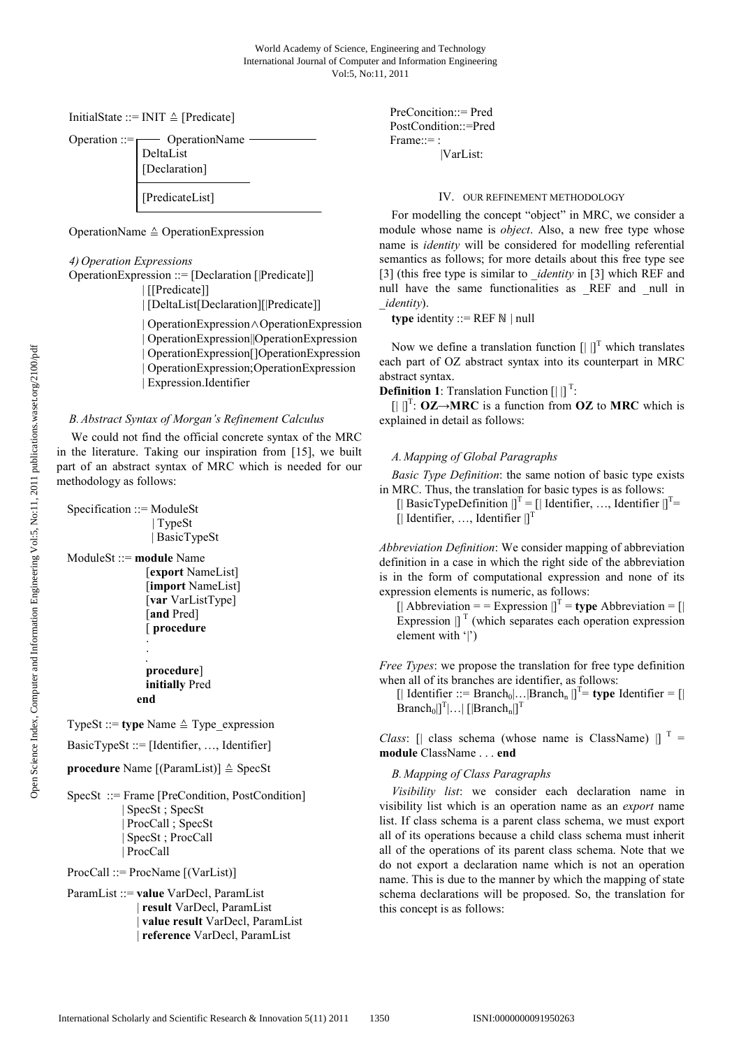InitialState ::= INIT ≙ [Predicate]

| Operation ::= $\boxed{\phantom{a}}$ OperationName<br>DeltaList<br>[Declaration] |
|---------------------------------------------------------------------------------|
| [PredicateList]                                                                 |

OperationName ≙ OperationExpression

*4) Operation Expressions* 

OperationExpression ::= [Declaration [|Predicate]]

 | [[Predicate]] | [DeltaList[Declaration][|Predicate]]

 | OperationExpression∧OperationExpression | OperationExpression||OperationExpression | OperationExpression[]OperationExpression | OperationExpression;OperationExpression | Expression.Identifier

# *B.Abstract Syntax of Morgan's Refinement Calculus*

We could not find the official concrete syntax of the MRC in the literature. Taking our inspiration from [15], we built part of an abstract syntax of MRC which is needed for our methodology as follows:

| Specification ::= ModuleSt     |
|--------------------------------|
| $\vert$ TypeSt                 |
| BasicTypeSt                    |
| ModuleSt ∷= <b>module</b> Name |

.

[**export** NameList] [**import** NameList] [**var** VarListType] [**and** Pred] [ **procedure** .

 . **procedure**]  **initially** Pred  **end** 

TypeSt ::= **type** Name  $\triangle$  Type expression

BasicTypeSt ::= [Identifier, …, Identifier]

**procedure** Name [(ParamList)] ≙ SpecSt

SpecSt ::= Frame [PreCondition, PostCondition] | SpecSt ; SpecSt | ProcCall ; SpecSt | SpecSt ; ProcCall | ProcCall

ProcCall ::= ProcName [(VarList)]

ParamList ::= **value** VarDecl, ParamList | **result** VarDecl, ParamList | **value result** VarDecl, ParamList | **reference** VarDecl, ParamList

PreConcition::= Pred PostCondition::=Pred Frame::=: |VarList:

# IV. OUR REFINEMENT METHODOLOGY

For modelling the concept "object" in MRC, we consider a module whose name is *object*. Also, a new free type whose name is *identity* will be considered for modelling referential semantics as follows; for more details about this free type see [3] (this free type is similar to *identity* in [3] which REF and null have the same functionalities as \_REF and \_null in *\_identity*).

**type** identity ::=  $REF \mathbb{N}$  | null

Now we define a translation function  $\left[ \begin{array}{c} \end{array} \right]$ <sup>T</sup> which translates each part of OZ abstract syntax into its counterpart in MRC abstract syntax.

**Definition 1**: Translation Function  $[||]$ <sup>T</sup>:

 $[|| \, ||^T$ : **OZ** $\rightarrow$ **MRC** is a function from **OZ** to **MRC** which is explained in detail as follows:

# *A. Mapping of Global Paragraphs*

*Basic Type Definition*: the same notion of basic type exists in MRC. Thus, the translation for basic types is as follows:

[| BasicTypeDefinition  $\mathbf{I}^T = [\mathbf{I}]$  Identifier, ..., Identifier  $\mathbf{I}^T =$  $[$  Identifier, ..., Identifier  $]$ <sup>1</sup>

*Abbreviation Definition*: We consider mapping of abbreviation definition in a case in which the right side of the abbreviation is in the form of computational expression and none of its expression elements is numeric, as follows:

 $[$  Abbreviation = = Expression  $]$ <sup>T</sup> = **type** Abbreviation =  $[$ Expression  $\int_0^T$  (which separates each operation expression element with '|')

*Free Types*: we propose the translation for free type definition when all of its branches are identifier, as follows:

 $[$ | Identifier ::= Branch<sub>0</sub>|...|Branch<sub>n</sub> |]<sup>T</sup>= **type** Identifier = [|  $\text{Branch}_0[]^T$ ...| [ $\text{[Branch}_n[]^T$ 

*Class*: [| class schema (whose name is ClassName)  $\parallel$ <sup>T</sup> = **module** ClassName . . . **end** 

# *B. Mapping of Class Paragraphs*

*Visibility list*: we consider each declaration name in visibility list which is an operation name as an *export* name list. If class schema is a parent class schema, we must export all of its operations because a child class schema must inherit all of the operations of its parent class schema. Note that we do not export a declaration name which is not an operation name. This is due to the manner by which the mapping of state schema declarations will be proposed. So, the translation for this concept is as follows: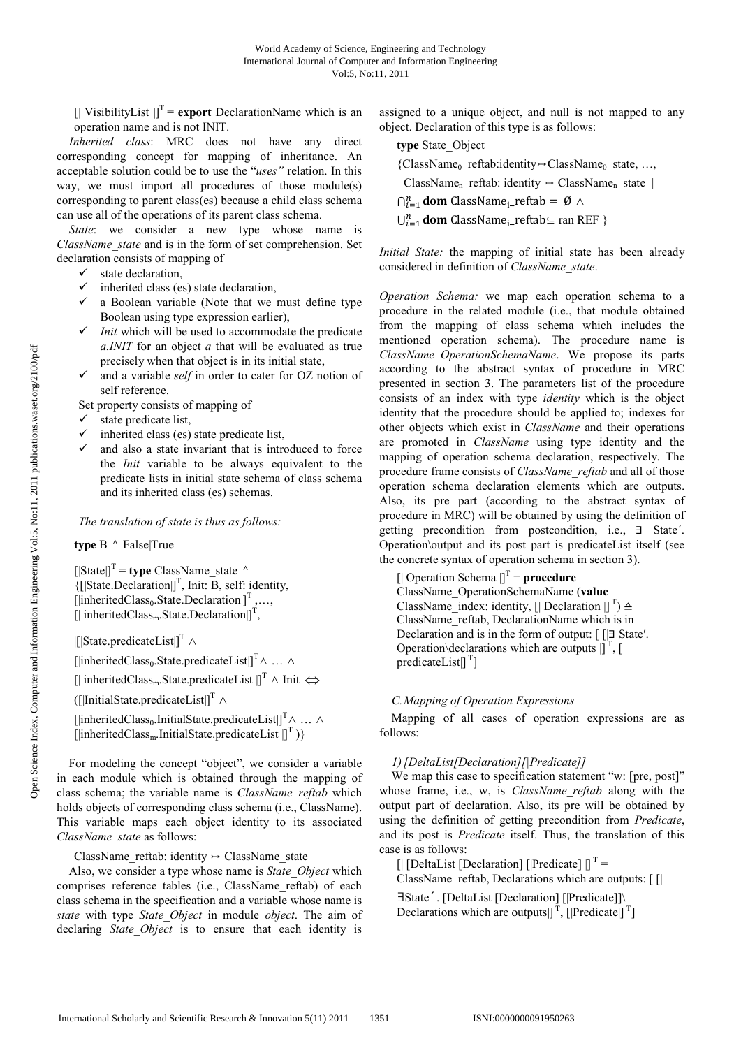$[$  VisibilityList  $]$ <sup>T</sup> = **export** DeclarationName which is an operation name and is not INIT.

*Inherited class*: MRC does not have any direct corresponding concept for mapping of inheritance. An acceptable solution could be to use the "*uses"* relation. In this way, we must import all procedures of those module(s) corresponding to parent class(es) because a child class schema can use all of the operations of its parent class schema.

*State*: we consider a new type whose name is *ClassName\_state* and is in the form of set comprehension. Set declaration consists of mapping of

- $\checkmark$  state declaration.
- inherited class (es) state declaration,
- $\checkmark$  a Boolean variable (Note that we must define type Boolean using type expression earlier),
- $\checkmark$  *Init* which will be used to accommodate the predicate *a.INIT* for an object *a* that will be evaluated as true precisely when that object is in its initial state,
- and a variable *self* in order to cater for OZ notion of self reference.

Set property consists of mapping of

- $\checkmark$  state predicate list,
- inherited class (es) state predicate list,
- and also a state invariant that is introduced to force the *Init* variable to be always equivalent to the predicate lists in initial state schema of class schema and its inherited class (es) schemas.

#### *The translation of state is thus as follows:*

**type** B ≙ False|True

 $[|State|]^{T}$  = **type** ClassName\_state  $\triangleq$  ${[[State. Declaration]]}^T$ , Init: B, self: identity, [|inheritedClass<sub>0</sub>.State.Declaration|]<sup>T</sup>,...,  $[|$  inheritedClass<sub>m</sub>.State.Declaration $]$ <sup>T</sup>,

|[|State.predicateList|]<sup>T</sup> ∧

[|inheritedClass<sub>0</sub>.State.predicateList|]<sup>T</sup>∧ … ∧

[| inheritedClass<sub>m</sub>.State.predicateList  $|$ <sup>T</sup> ∧ Init  $\Leftrightarrow$ 

([|InitialState.predicateList|]<sup>T</sup> ∧

[|inheritedClass<sub>0</sub>.InitialState.predicateList|]<sup>T</sup>∧ … ∧ [|inheritedClass<sub>m</sub>.InitialState.predicateList  $[]<sup>T</sup>$ )}

For modeling the concept "object", we consider a variable in each module which is obtained through the mapping of class schema; the variable name is *ClassName\_reftab* which holds objects of corresponding class schema (i.e., ClassName). This variable maps each object identity to its associated *ClassName\_state* as follows:

ClassName\_reftab: identity  $\rightarrow$  ClassName\_state

Also, we consider a type whose name is *State\_Object* which comprises reference tables (i.e., ClassName\_reftab) of each class schema in the specification and a variable whose name is *state* with type *State\_Object* in module *object*. The aim of declaring *State\_Object* is to ensure that each identity is

assigned to a unique object, and null is not mapped to any object. Declaration of this type is as follows:

**type** State\_Object

 ${ClassName_0$  reftab:identity $\rightarrow$ ClassName<sub>0</sub> state, ...,

 $ClassName_n_reftab: identity \rightarrow ClassName_n\_state$  |

 $\bigcap_{i=1}^n$  dom ClassName<sub>i</sub>\_reftab =  $\emptyset \wedge$ 

 $\bigcup_{i=1}^n$  dom ClassName<sub>i</sub>\_reftab $\subseteq$  ran REF }

*Initial State:* the mapping of initial state has been already considered in definition of *ClassName\_state*.

*Operation Schema:* we map each operation schema to a procedure in the related module (i.e., that module obtained from the mapping of class schema which includes the mentioned operation schema). The procedure name is *ClassName\_OperationSchemaName*. We propose its parts according to the abstract syntax of procedure in MRC presented in section 3. The parameters list of the procedure consists of an index with type *identity* which is the object identity that the procedure should be applied to; indexes for other objects which exist in *ClassName* and their operations are promoted in *ClassName* using type identity and the mapping of operation schema declaration, respectively. The procedure frame consists of *ClassName\_reftab* and all of those operation schema declaration elements which are outputs. Also, its pre part (according to the abstract syntax of procedure in MRC) will be obtained by using the definition of getting precondition from postcondition, i.e., ∃ State´. Operation\output and its post part is predicateList itself (see the concrete syntax of operation schema in section 3).

 $[$ | Operation Schema  $]$ <sup>T</sup> = **procedure** ClassName\_OperationSchemaName (**value**  ClassName\_index: identity,  $[|$  Declaration  $|]^{T}$ )  $\triangleq$ ClassName\_reftab, DeclarationName which is in Declaration and is in the form of output: [ [|∃ State′. Operation\declarations which are outputs  $|\mathbf{I}^T|$ ,  $[|$ predicateList $|T|$ 

# *C.Mapping of Operation Expressions*

Mapping of all cases of operation expressions are as follows:

# *1)[DeltaList[Declaration][|Predicate]]*

We map this case to specification statement "w: [pre, post]" whose frame, i.e., w, is *ClassName\_reftab* along with the output part of declaration. Also, its pre will be obtained by using the definition of getting precondition from *Predicate*, and its post is *Predicate* itself. Thus, the translation of this case is as follows:

 $[$  [DeltaList [Declaration] [ $[$ Predicate]  $]$ <sup>T</sup> =

 $ClassName$  reftab, Declarations which are outputs:  $[$ 

∃State´. [DeltaList [Declaration] [|Predicate]]\

Declarations which are outputs $[T, [|Predict||^T]$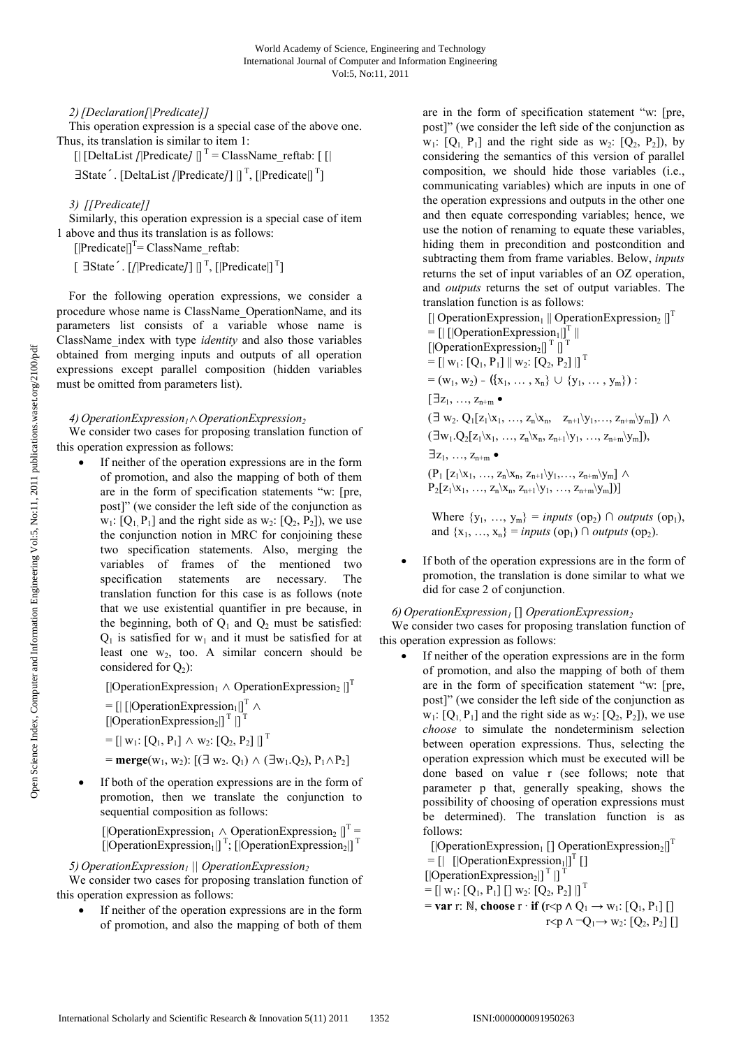*2)[Declaration[|Predicate]]* 

This operation expression is a special case of the above one. Thus, its translation is similar to item 1:

 $[|$  [DeltaList *[*|Predicate*]*  $|$ <sup>T</sup> = ClassName\_reftab: [[|

∃State´. [DeltaList *[*|Predicate*]*] |]<sup>T</sup>, [|Predicate|]<sup>T</sup>]

*3) [[Predicate]]* 

Similarly, this operation expression is a special case of item 1 above and thus its translation is as follows:

 $[|Predict||^T = ClassName_reftab:$ 

 $\lceil$   $\exists$ State´.  $\lceil$ /|Predicate/]  $\rceil$ <sup>T</sup>,  $\lceil$ |Predicate|]<sup>T</sup>]

For the following operation expressions, we consider a procedure whose name is ClassName\_OperationName, and its parameters list consists of a variable whose name is ClassName\_index with type *identity* and also those variables obtained from merging inputs and outputs of all operation expressions except parallel composition (hidden variables must be omitted from parameters list).

# *4) OperationExpression1*∧*OperationExpression<sup>2</sup>*

We consider two cases for proposing translation function of this operation expression as follows:

If neither of the operation expressions are in the form of promotion, and also the mapping of both of them are in the form of specification statements "w: [pre, post]" (we consider the left side of the conjunction as  $w_1$ : [Q<sub>1</sub>, P<sub>1</sub>] and the right side as  $w_2$ : [Q<sub>2</sub>, P<sub>2</sub>]), we use the conjunction notion in MRC for conjoining these two specification statements. Also, merging the variables of frames of the mentioned two specification statements are necessary. The translation function for this case is as follows (note that we use existential quantifier in pre because, in the beginning, both of  $Q_1$  and  $Q_2$  must be satisfied:  $Q_1$  is satisfied for  $w_1$  and it must be satisfied for at least one  $w_2$ , too. A similar concern should be considered for  $Q_2$ ):

[|OperationExpression<sub>1</sub> ∧ OperationExpression<sub>2</sub> |]<sup>T</sup>

 $= [ | [OperationExpression<sub>1</sub>]]<sup>T</sup> \wedge$ 

- $[|OperationExpression<sub>2</sub>]]^T$
- $=[\,] w_1: [Q_1, P_1] \wedge w_2: [Q_2, P_2] \,|\,]^{T}$
- $= \text{merge}(w_1, w_2)$ :  $[(\exists w_2, Q_1) \wedge (\exists w_1, Q_2), P_1 \wedge P_2]$
- If both of the operation expressions are in the form of promotion, then we translate the conjunction to sequential composition as follows:

[|OperationExpression<sub>1</sub>  $\wedge$  OperationExpression<sub>2</sub> |]<sup>T</sup> [|OperationExpression<sub>1</sub>|]<sup>T</sup>; [|OperationExpression<sub>2</sub>|]<sup>T</sup>

# *5) OperationExpression1 || OperationExpression<sup>2</sup>*

We consider two cases for proposing translation function of this operation expression as follows:

If neither of the operation expressions are in the form of promotion, and also the mapping of both of them are in the form of specification statement "w: [pre, post]" (we consider the left side of the conjunction as w<sub>1</sub>:  $[Q_1 \ P_1]$  and the right side as w<sub>2</sub>:  $[Q_2, P_2]$ ), by considering the semantics of this version of parallel composition, we should hide those variables (i.e., communicating variables) which are inputs in one of the operation expressions and outputs in the other one and then equate corresponding variables; hence, we use the notion of renaming to equate these variables, hiding them in precondition and postcondition and subtracting them from frame variables. Below, *inputs* returns the set of input variables of an OZ operation, and *outputs* returns the set of output variables. The translation function is as follows:

[| OperationExpression<sub>1</sub> || OperationExpression<sub>2</sub> |]<sup>T</sup>  $=$  [| [|OperationExpression<sub>1</sub>|]<sup>T</sup> || [ $[OperationExpression<sub>2</sub>$ ]<sup>T</sup>]]  $= [ | w_1: [Q_1, P_1] || w_2: [Q_2, P_2] ] ]^{T}$  $= (w_1, w_2) - (\{x_1, \ldots, x_n\} \cup \{y_1, \ldots, y_m\})$ :  $[∃z<sub>1</sub>, ..., z<sub>n+m</sub> •$  $(\exists w_2, Q_1[z_1\setminus x_1, ..., z_n\setminus x_n, z_{n+1}\setminus y_1, ..., z_{n+m}\setminus y_m]) \wedge$  $(\exists w_1.Q_2[z_1\vert x_1, \ldots, z_n\vert x_n, z_{n+1}\vert y_1, \ldots, z_{n+m}\vert y_m]),$ ∃z1, …, zn+m ∙  $(P_1 [z_1\setminus x_1, \ldots, z_n\setminus x_n, z_{n+1}\setminus y_1, \ldots, z_{n+m}\setminus y_m] \wedge$  $P_2[z_1\vert x_1, \ldots, z_n\vert x_n, z_{n+1}\vert y_1, \ldots, z_{n+m}\vert y_m])$ 

Where  $\{y_1, \ldots, y_m\}$  = *inputs* (op<sub>2</sub>)  $\cap$  *outputs* (op<sub>1</sub>), and  $\{x_1, ..., x_n\}$  = *inputs* (op<sub>1</sub>) ∩ *outputs* (op<sub>2</sub>).

If both of the operation expressions are in the form of promotion, the translation is done similar to what we did for case 2 of conjunction.

# *6) OperationExpression<sup>1</sup>* [] *OperationExpression<sup>2</sup>*

We consider two cases for proposing translation function of this operation expression as follows:

If neither of the operation expressions are in the form of promotion, and also the mapping of both of them are in the form of specification statement "w: [pre, post]" (we consider the left side of the conjunction as  $w_1$ : [Q<sub>1</sub>, P<sub>1</sub>] and the right side as  $w_2$ : [Q<sub>2</sub>, P<sub>2</sub>]), we use *choose* to simulate the nondeterminism selection between operation expressions. Thus, selecting the operation expression which must be executed will be done based on value r (see follows; note that parameter p that, generally speaking, shows the possibility of choosing of operation expressions must be determined). The translation function is as follows:

[|OperationExpression<sub>1</sub> [] OperationExpression<sub>2</sub>]<sup>T</sup>

 $=$  [| [|OperationExpression<sub>1</sub>]<sup>T</sup> []

[ $[OperationExpression_2$ ]<sup>T</sup>]]

 $=[\,] w_1: [Q_1, P_1] []\ w_2: [Q_2, P_2] ]$ 

 $=$  **var**  $\bf{r}$ :  $\bf{N}$ , **choose**  $\bf{r}$  · **if**  $(\bf{r}$   $\lt$  $\bf{p}$   $\wedge$   $\bf{Q}$ <sub>1</sub>  $\rightarrow$   $\bf{w}$ <sub>1</sub>:  $[\bf{Q}$ <sub>1</sub>,  $\bf{P}$ <sub>1</sub>] $[\bf{r}]$  $r < p \land \neg Q_1 \rightarrow w_2$ :  $[Q_2, P_2]$  []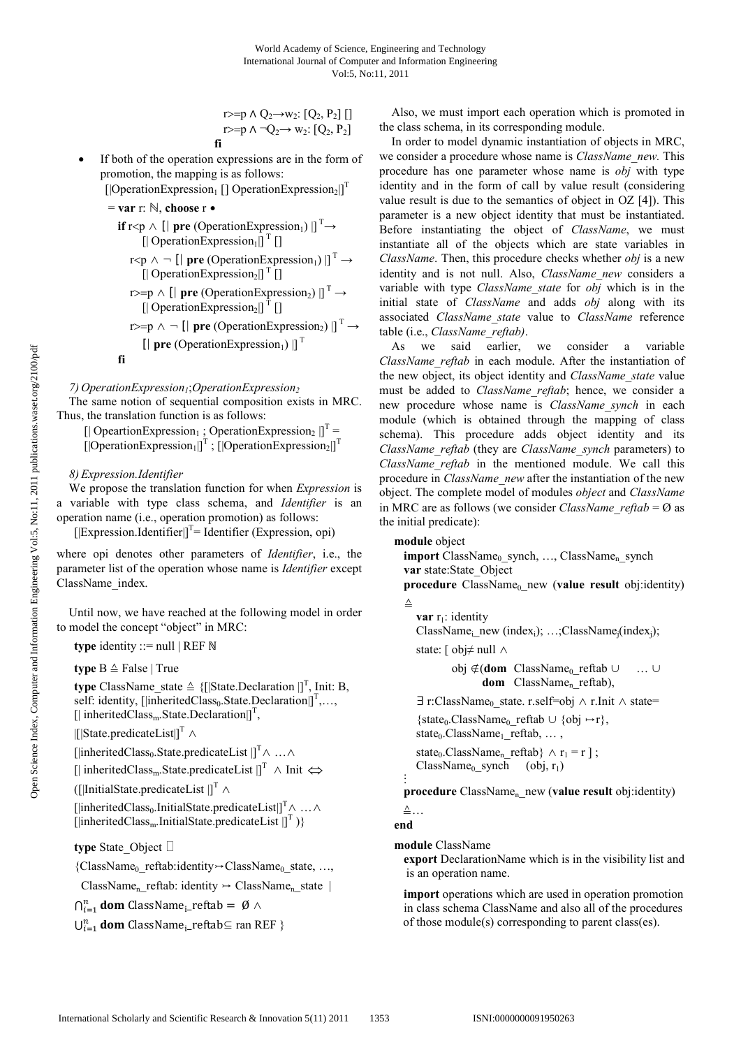r>=p  $\land$  Q<sub>2</sub>→w<sub>2</sub>: [Q<sub>2</sub>, P<sub>2</sub>] [] r>=p  $\land \neg Q_2 \rightarrow w_2$ : [ $Q_2$ ,  $P_2$ ] **fii fi** 

- If both of the operation expressions are in the form of promotion, the mapping is as follows:
- [|OperationExpression<sub>1</sub> [] OperationExpression<sub>2</sub>]<sup>T</sup>

$$
=
$$
 var r: N, choose r

**if**  $r < p$  ∧ [| **pre** (OperationExpression<sub>1</sub>) |]<sup>T</sup>→  $[$  OperationExpression<sub>1</sub> $T$  []

$$
r q
$$
  $\wedge \neg$  [] **pre** (OperationExpression<sub>1</sub>) []<sup>T</sup>  $\rightarrow$   
[] OperationExpression<sub>2</sub>]]<sup>T</sup> []  
 $\wedge \neg$   $\wedge$  [] **spec** (Operation Expression<sub>2</sub>)<sup>T</sup>

 r>=p ∧ [| **pre** (OperationExpression2) |]<sup>T</sup> → [| OperationExpression2|]<sup>T</sup> []

r>=p  $\wedge \neg$  [| pre (OperationExpression<sub>2</sub>) |]<sup>T</sup>  $\rightarrow$ 

$$
\left[\right|\,\text{pre}\left(\text{OperationExpression}_1\right)\left[\right]^{\mathrm{T}}
$$

**fi** 

## *7) OperationExpression1*;*OperationExpression<sup>2</sup>*

The same notion of sequential composition exists in MRC. Thus, the translation function is as follows:

[| OpeartionExpression<sub>1</sub> ; OperationExpression<sub>2</sub>  $[]<sup>T</sup>$  = [|OperationExpression<sub>1</sub>]<sup>T</sup>; [|OperationExpression<sub>2</sub>]<sup>T</sup>

#### *8) Expression.Identifier*

We propose the translation function for when *Expression* is a variable with type class schema, and *Identifier* is an operation name (i.e., operation promotion) as follows:

 $[$ Expression.Identifier $]$ <sup>T</sup>= Identifier (Expression, opi)

where opi denotes other parameters of *Identifier*, i.e., the parameter list of the operation whose name is *Identifier* except ClassName\_index.

Until now, we have reached at the following model in order to model the concept "object" in MRC:

**type** identity ::= null | REF ℕ

**type** B ≙ False | True

**type** ClassName\_state  $\triangleq$  {[State.Declaration  $[]^T$ , Init: B, self: identity, [|inheritedClass<sub>0</sub>.State.Declaration|]<sup>T</sup>,...,  $[|$  inheritedClass<sub>m</sub>.State.Declaration $]$ <sup>T</sup>,

|[|State.predicateList|]<sup>T</sup> ∧

[|inheritedClass<sub>0</sub>.State.predicateList |]<sup>T</sup>∧ …∧

[| inheritedClass<sub>m</sub>.State.predicateList  $[]^{T} \wedge$  Init  $\Leftrightarrow$ 

([|InitialState.predicateList  $|$ ]<sup>T</sup> ∧

[|inheritedClass0.InitialState.predicateList|]<sup>T</sup>∧ …∧ [|inheritedClass<sub>m</sub>.InitialState.predicateList  $[]<sup>T</sup>$ )}

**type** State\_Object

 ${ClassName_0_reftab:identity \rightarrow ClassName_0<sub>0</sub> state, ...}$ 

ClassName<sub>n</sub> reftab: identity  $\rightarrow$  ClassName<sub>n</sub> state |

 $\bigcap_{i=1}^n$  dom ClassName<sub>i-</sub>reftab =  $\emptyset \wedge$ 

 $\bigcup_{i=1}^n$  dom ClassName<sub>i</sub>\_reftab $\subseteq$  ran REF }

Also, we must import each operation which is promoted in the class schema, in its corresponding module.

In order to model dynamic instantiation of objects in MRC, we consider a procedure whose name is *ClassName\_new.* This procedure has one parameter whose name is *obj* with type identity and in the form of call by value result (considering value result is due to the semantics of object in OZ [4]). This parameter is a new object identity that must be instantiated. Before instantiating the object of *ClassName*, we must instantiate all of the objects which are state variables in *ClassName*. Then, this procedure checks whether *obj* is a new identity and is not null. Also, *ClassName\_new* considers a variable with type *ClassName\_state* for *obj* which is in the initial state of *ClassName* and adds *obj* along with its associated *ClassName\_state* value to *ClassName* reference table (i.e., *ClassName\_reftab)*.

As we said earlier, we consider a variable *ClassName\_reftab* in each module. After the instantiation of the new object, its object identity and *ClassName\_state* value must be added to *ClassName\_reftab*; hence, we consider a new procedure whose name is *ClassName\_synch* in each module (which is obtained through the mapping of class schema). This procedure adds object identity and its *ClassName\_reftab* (they are *ClassName\_synch* parameters) to *ClassName\_reftab* in the mentioned module. We call this procedure in *ClassName\_new* after the instantiation of the new object. The complete model of modules *object* and *ClassName* in MRC are as follows (we consider *ClassName\_reftab* = Ø as the initial predicate):

```
module object
```
**import** ClassName<sub>0</sub> synch, ..., ClassName<sub>n</sub> synch  **var** state:State\_Object **procedure** ClassName<sub>0</sub> new (value result obj:identity) ≙ var r<sub>1</sub>: identity  $ClassName_i$  new (index<sub>i</sub>); …;ClassName<sub>i</sub>(index<sub>i</sub>); state: [ obj≠ null ∧ obj ∉(**dom** ClassName<sub>0</sub> reftab ∪ … ∪

dom ClassName<sub>n</sub> reftab),

∃ r:ClassName<sub>0</sub>\_state. r.self=obj ∧ r.Init ∧ state=

```
{state<sub>0</sub>.ClassName<sub>0</sub>_reftab ∪ {obj →r},
state<sub>0</sub>.ClassName<sub>1</sub> reftab, ...,
```
state<sub>0</sub>.ClassName<sub>n</sub>\_reftab}  $\land$  r<sub>1</sub> = r ];  $ClassName_0$ \_synch (obj,  $r_1$ )

 . **procedure** ClassName<sub>n</sub> new (**value result** obj:identity)

```
 ≙…
```
 . .

**end**

**module** ClassName

 **export** DeclarationName which is in the visibility list and is an operation name.

**import** operations which are used in operation promotion in class schema ClassName and also all of the procedures of those module(s) corresponding to parent class(es).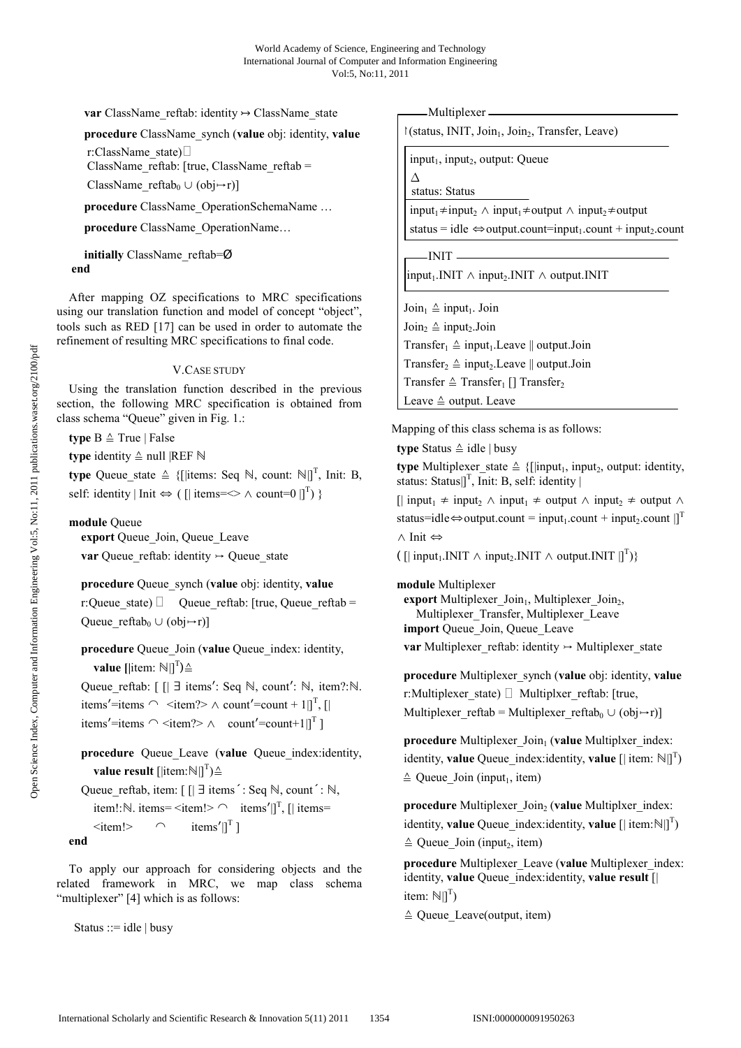**var** ClassName\_reftab: identity → ClassName\_state

**procedure** ClassName\_synch (**value** obj: identity, **value** 

r:ClassName\_state) ClassName\_reftab: [true, ClassName\_reftab =

ClassName\_reftab<sub>0</sub> ∪ (obj $\rightarrow$ r)]

**procedure** ClassName\_OperationSchemaName …

**procedure** ClassName\_OperationName...

**initially** ClassName\_reftab=Ø **end** 

After mapping OZ specifications to MRC specifications using our translation function and model of concept "object", tools such as RED [17] can be used in order to automate the refinement of resulting MRC specifications to final code.

## V.CASE STUDY

Using the translation function described in the previous section, the following MRC specification is obtained from class schema "Queue" given in Fig. 1.:

**type**  $B \triangleq True | False$ 

 **type** identity ≙ null |REF ℕ

**type** Queue\_state  $\triangleq$  {[|items: Seq  $\mathbb{N}$ , count:  $\mathbb{N}$ |]<sup>T</sup>, Init: B, self: identity | Init ⇔ ( [| items= $\Diamond \land$  count=0 |]<sup>T</sup>) }

#### **module** Queue

 **export** Queue\_Join, Queue\_Leave **var** Queue reftab: identity  $\rightarrow$  Queue state

 **procedure** Queue\_synch (**value** obj: identity, **value** 

r:Queue state) Queue reftab: [true, Queue reftab = Queue reftab<sub>0</sub> ∪ (obj $\rightarrow$ r)]

 **procedure** Queue\_Join (**value** Queue\_index: identity, **value** [ $\left[\text{item: } \mathbb{N}\right]^{T}$ ]  $\triangleq$ 

 Queue\_reftab: [ [| ∃ items′: Seq ℕ, count′: ℕ, item?:ℕ. items'=items  $\cap$  <item?>  $\land$  count'=count + 1|]<sup>T</sup>, [| items'=items  $\cap$  <item?>  $\land$  count'=count+1|]<sup>T</sup> ]

 **procedure** Queue\_Leave (**value** Queue\_index:identity, **value result** [ $\left[\text{item:}\mathbb{N}\right]\right]^{T}$ )  $\triangleq$ 

Queue reftab, item:  $[$   $|$   $\exists$  items´: Seq ℕ, count´: ℕ, item!:ℕ. items= <item!> ∩ items'|]<sup>T</sup>, [| items=  $\leq$  items'|]<sup>T</sup>]

#### **end**

To apply our approach for considering objects and the related framework in MRC, we map class schema "multiplexer" [4] which is as follows:

Status ::= idle | busy

-Multiplexer-

*\fermionity (status, INIT, Join<sub>1</sub>, Join<sub>2</sub>, Transfer, Leave)* 

 $input_1$ , input<sub>2</sub>, output: Queue ∆

status: Status

input<sub>1</sub>≠input<sub>2</sub> ∧ input<sub>1</sub>≠output ∧ input<sub>2</sub>≠output

status = idle  $\Leftrightarrow$  output.count=input<sub>1</sub>.count + input<sub>2</sub>.count

 $-$ INIT $\text{input}_1$ .INIT ∧ input<sub>2</sub>.INIT ∧ output.INIT

 $Join_1 \triangleq input_1$ . Join  $Join<sub>2</sub> \triangleq input<sub>2</sub>.Join$ Transfer<sub>1</sub>  $\triangleq$  input<sub>1</sub>.Leave || output.Join Transfer<sub>2</sub>  $\triangle$  input<sub>2</sub>. Leave || output. Join Transfer  $\triangleq$  Transfer<sub>1</sub> [] Transfer<sub>2</sub> Leave  $\triangleq$  output. Leave

Mapping of this class schema is as follows:

**type** Status ≙ idle | busy

**type** Multiplexer state  $\triangleq$  {[|input<sub>1</sub>, input<sub>2</sub>, output: identity, status: Status $[]<sup>T</sup>$ , Init: B, self: identity  $|$ 

 $[$  input<sub>1</sub> ≠ input<sub>2</sub>  $\wedge$  input<sub>1</sub> ≠ output  $\wedge$  input<sub>2</sub> ≠ output  $\wedge$ status=idle⇔output.count = input<sub>1</sub>.count + input<sub>2</sub>.count |]<sup>T</sup> ∧ Init ⇔

( $[$ | input<sub>1</sub>.INIT  $\land$  input<sub>2</sub>.INIT  $\land$  output.INIT  $[]<sup>T</sup>$ )}

**module** Multiplexer export Multiplexer\_Join<sub>1</sub>, Multiplexer\_Join<sub>2</sub>, Multiplexer\_Transfer, Multiplexer\_Leave **import** Queue\_Join, Queue\_Leave **var** Multiplexer reftab: identity  $\rightarrow$  Multiplexer state

 **procedure** Multiplexer\_synch (**value** obj: identity, **value**  r:Multiplexer\_state) Multiplxer\_reftab: [true, Multiplexer\_reftab = Multiplexer\_reftab<sub>0</sub> ∪ (obj $\rightarrow$ r)]

**procedure** Multiplexer Join<sub>1</sub> (value Multiplxer index: identity, **value** Queue\_index:identity, **value**  $[$  item:  $\mathbb{N}$  $]^T$ )  $\triangleq$  Queue Join (input<sub>1</sub>, item)

**procedure** Multiplexer Join<sub>2</sub> (value Multiplxer index: identity, **value** Queue\_index:identity, **value**  $[$  item: $\mathbb{N}$  $]^{T}$ )  $\triangle$  Oueue Join (input<sub>2</sub>, item)

 **procedure** Multiplexer\_Leave (**value** Multiplexer\_index: identity, **value** Queue\_index:identity, **value result** [| item:  $\mathbb{N}$ ]<sup>T</sup>)

 $\triangle$  Queue Leave(output, item)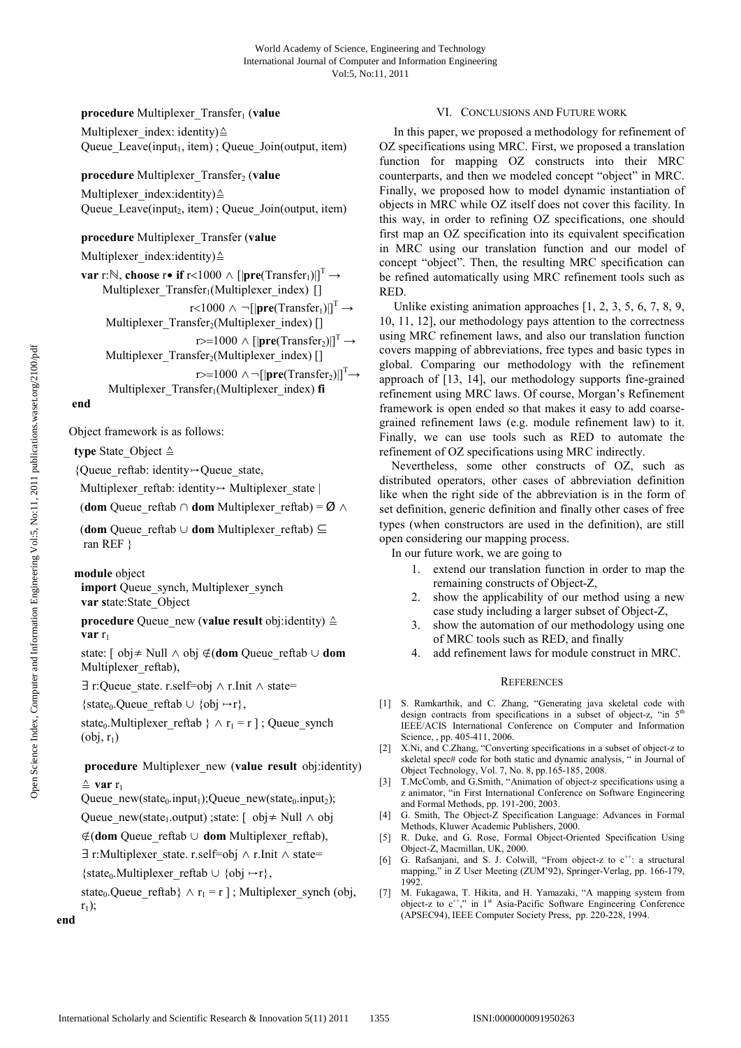## **procedure** Multiplexer Transfer<sub>1</sub> (value

Multiplexer\_index: identity)≙ Oueue Leave(input<sub>1</sub>, item) ; Oueue Join(output, item)

## **procedure** Multiplexer\_Transfer2 (**value**

Multiplexer\_index:identity)≙ Queue Leave(input<sub>2</sub>, item) ; Queue Join(output, item)

# **procedure** Multiplexer\_Transfer (**value**

Multiplexer\_index:identity)≙

 **var r**:ℕ, **choose <sup>r•</sup> <b>if**  $r$ <1000 ∧  $[[\textbf{pre}(Transfer_1)]]^T \rightarrow$ Multiplexer Transfer<sub>1</sub>(Multiplexer index) []

 $r<1000 \wedge \neg [|\text{pre}(\text{Transfer}_1)|]^T \rightarrow$ Multiplexer\_Transfer<sub>2</sub>(Multiplexer\_index) []

 $r$  > = 1000  $\wedge$  [|pre(Transfer<sub>2</sub>)|]<sup>T</sup>  $\rightarrow$ Multiplexer  $Transfer_2(Multiplexer\_index)$  []

 $r > = 1000 \land \neg [|pre(Transfer_2)|]^T \rightarrow$ 

Multiplexer\_Transfer<sub>1</sub>(Multiplexer\_index) **fi** 

#### **end**

Object framework is as follows:

**type** State\_Object ≙

{Queue reftab: identity $\rightarrow$ Queue state,

Multiplexer\_reftab: identity  $\rightarrow$  Multiplexer\_state |

(**dom** Queue\_reftab ∩ **dom** Multiplexer\_reftab) = Ø ∧

 (**dom** Queue\_reftab ∪ **dom** Multiplexer\_reftab) ⊆ ran REF }

## **module** object

 **import** Queue\_synch, Multiplexer\_synch  **var s**tate:State\_Object

**procedure** Queue new (**value result** obj:identity) ≙  **var** r<sup>1</sup>

 state: [ obj≠ Null ∧ obj ∉(**dom** Queue\_reftab ∪ **dom** Multiplexer reftab),

∃ r:Queue\_state. r.self=obj ∧ r.Init ∧ state=

{state<sub>0</sub>.Queue reftab ∪ {obj →r},

state<sub>0</sub>.Multiplexer\_reftab  $\} \wedge r_1 = r$  ; Queue\_synch  $(obj, r_1)$ 

# **procedure** Multiplexer\_new (**value result** obj:identity) ≙ **var** r<sup>1</sup>

Queue new(state<sub>0</sub>.input<sub>1</sub>);Queue new(state<sub>0</sub>.input<sub>2</sub>);

Queue\_new(state<sub>1</sub>.output) ;state:  $\int$  obj≠ Null  $\wedge$  obj

∉(**dom** Queue\_reftab ∪ **dom** Multiplexer\_reftab),

∃ r:Multiplexer\_state. r.self=obj ∧ r.Init ∧ state=

{state<sub>0</sub>.Multiplexer\_reftab ∪ {obj →r},

state<sub>0</sub>.Queue reftab}  $\land$  r<sub>1</sub> = r ] ; Multiplexer synch (obj,  $r_1$ );

#### VI. CONCLUSIONS AND FUTURE WORK

In this paper, we proposed a methodology for refinement of OZ specifications using MRC. First, we proposed a translation function for mapping OZ constructs into their MRC counterparts, and then we modeled concept "object" in MRC. Finally, we proposed how to model dynamic instantiation of objects in MRC while OZ itself does not cover this facility. In this way, in order to refining OZ specifications, one should first map an OZ specification into its equivalent specification in MRC using our translation function and our model of concept "object". Then, the resulting MRC specification can be refined automatically using MRC refinement tools such as RED.

Unlike existing animation approaches [1, 2, 3, 5, 6, 7, 8, 9, 10, 11, 12], our methodology pays attention to the correctness using MRC refinement laws, and also our translation function covers mapping of abbreviations, free types and basic types in global. Comparing our methodology with the refinement approach of [13, 14], our methodology supports fine-grained refinement using MRC laws. Of course, Morgan's Refinement framework is open ended so that makes it easy to add coarsegrained refinement laws (e.g. module refinement law) to it. Finally, we can use tools such as RED to automate the refinement of OZ specifications using MRC indirectly.

Nevertheless, some other constructs of OZ, such as distributed operators, other cases of abbreviation definition like when the right side of the abbreviation is in the form of set definition, generic definition and finally other cases of free types (when constructors are used in the definition), are still open considering our mapping process.

In our future work, we are going to

- 1. extend our translation function in order to map the remaining constructs of Object-Z,
- 2. show the applicability of our method using a new case study including a larger subset of Object-Z,
- 3. show the automation of our methodology using one of MRC tools such as RED, and finally
- 4. add refinement laws for module construct in MRC.

#### **REFERENCES**

- [1] S. Ramkarthik, and C. Zhang, "Generating java skeletal code with design contracts from specifications in a subset of object-z, "in 5<sup>th</sup> IEEE/ACIS International Conference on Computer and Information Science, , pp. 405-411, 2006.
- [2] X.Ni, and C.Zhang, "Converting specifications in a subset of object-z to skeletal spec# code for both static and dynamic analysis, " in Journal of Object Technology, Vol. 7, No. 8, pp.165-185, 2008.
- [3] T.McComb, and G.Smith, "Animation of object-z specifications using a z animator, "in First International Conference on Software Engineering and Formal Methods, pp. 191-200, 2003.
- [4] G. Smith, The Object-Z Specification Language: Advances in Formal Methods, Kluwer Academic Publishers, 2000.
- [5] R. Duke, and G. Rose, Formal Object-Oriented Specification Using Object-Z, Macmillan, UK, 2000.
- [6] G. Rafsanjani, and S. J. Colwill, "From object-z to  $c^{++}$ : a structural mapping," in Z User Meeting (ZUM'92), Springer-Verlag, pp. 166-179, 1992.
- [7] M. Fukagawa, T. Hikita, and H. Yamazaki, "A mapping system from object-z to  $c^{++}$ ," in 1<sup>st</sup> Asia-Pacific Software Engineering Conference (APSEC94), IEEE Computer Society Press, pp. 220-228, 1994.

**end**